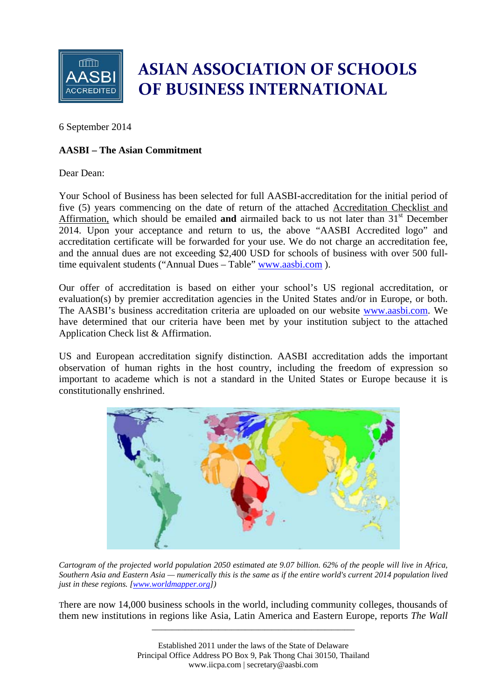

## **ASIAN ASSOCIATION OF SCHOOLS OF BUSINESS INTERNATIONAL**

6 September 2014

### **AASBI – The Asian Commitment**

Dear Dean:

Your School of Business has been selected for full AASBI-accreditation for the initial period of five (5) years commencing on the date of return of the attached Accreditation Checklist and Affirmation, which should be emailed **and** airmailed back to us not later than 31<sup>st</sup> December 2014. Upon your acceptance and return to us, the above "AASBI Accredited logo" and accreditation certificate will be forwarded for your use. We do not charge an accreditation fee, and the annual dues are not exceeding \$2,400 USD for schools of business with over 500 fulltime equivalent students ("Annual Dues – Table" www.aasbi.com ).

Our offer of accreditation is based on either your school's US regional accreditation, or evaluation(s) by premier accreditation agencies in the United States and/or in Europe, or both. The AASBI's business accreditation criteria are uploaded on our website www.aasbi.com. We have determined that our criteria have been met by your institution subject to the attached Application Check list & Affirmation.

US and European accreditation signify distinction. AASBI accreditation adds the important observation of human rights in the host country, including the freedom of expression so important to academe which is not a standard in the United States or Europe because it is constitutionally enshrined.



*Cartogram of the projected world population 2050 estimated ate 9.07 billion. 62% of the people will live in Africa, Southern Asia and Eastern Asia — numerically this is the same as if the entire world's current 2014 population lived just in these regions. [www.worldmapper.org])* 

There are now 14,000 business schools in the world, including community colleges, thousands of them new institutions in regions like Asia, Latin America and Eastern Europe, reports *The Wall* 

\_\_\_\_\_\_\_\_\_\_\_\_\_\_\_\_\_\_\_\_\_\_\_\_\_\_\_\_\_\_\_\_\_\_\_\_\_\_\_\_\_\_\_\_\_\_\_\_\_\_\_\_\_\_\_\_\_\_\_\_\_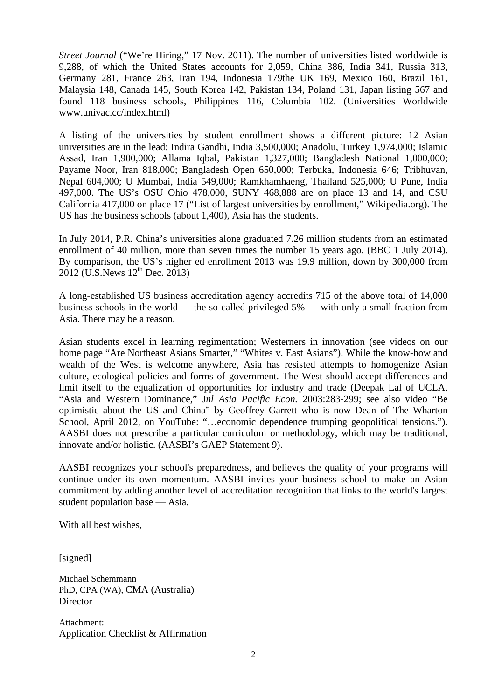*Street Journal* ("We're Hiring," 17 Nov. 2011). The number of universities listed worldwide is 9,288, of which the United States accounts for 2,059, China 386, India 341, Russia 313, Germany 281, France 263, Iran 194, Indonesia 179the UK 169, Mexico 160, Brazil 161, Malaysia 148, Canada 145, South Korea 142, Pakistan 134, Poland 131, Japan listing 567 and found 118 business schools, Philippines 116, Columbia 102. (Universities Worldwide www.univac.cc/index.html)

A listing of the universities by student enrollment shows a different picture: 12 Asian universities are in the lead: Indira Gandhi, India 3,500,000; Anadolu, Turkey 1,974,000; Islamic Assad, Iran 1,900,000; Allama Iqbal, Pakistan 1,327,000; Bangladesh National 1,000,000; Payame Noor, Iran 818,000; Bangladesh Open 650,000; Terbuka, Indonesia 646; Tribhuvan, Nepal 604,000; U Mumbai, India 549,000; Ramkhamhaeng, Thailand 525,000; U Pune, India 497,000. The US's OSU Ohio 478,000, SUNY 468,888 are on place 13 and 14, and CSU California 417,000 on place 17 ("List of largest universities by enrollment," Wikipedia.org). The US has the business schools (about 1,400), Asia has the students.

In July 2014, P.R. China's universities alone graduated 7.26 million students from an estimated enrollment of 40 million, more than seven times the number 15 years ago. (BBC 1 July 2014). By comparison, the US's higher ed enrollment 2013 was 19.9 million, down by 300,000 from  $2012$  (U.S. News  $12^{th}$  Dec.  $2013$ )

A long-established US business accreditation agency accredits 715 of the above total of 14,000 business schools in the world — the so-called privileged 5% — with only a small fraction from Asia. There may be a reason.

Asian students excel in learning regimentation; Westerners in innovation (see videos on our home page "Are Northeast Asians Smarter," "Whites v. East Asians"). While the know-how and wealth of the West is welcome anywhere, Asia has resisted attempts to homogenize Asian culture, ecological policies and forms of government. The West should accept differences and limit itself to the equalization of opportunities for industry and trade (Deepak Lal of UCLA, "Asia and Western Dominance," J*nl Asia Pacific Econ.* 2003:283-299; see also video "Be optimistic about the US and China" by Geoffrey Garrett who is now Dean of The Wharton School, April 2012, on YouTube: "…economic dependence trumping geopolitical tensions."). AASBI does not prescribe a particular curriculum or methodology, which may be traditional, innovate and/or holistic. (AASBI's GAEP Statement 9).

AASBI recognizes your school's preparedness, and believes the quality of your programs will continue under its own momentum. AASBI invites your business school to make an Asian commitment by adding another level of accreditation recognition that links to the world's largest student population base — Asia.

With all best wishes,

[signed]

Michael Schemmann PhD, CPA (WA), CMA (Australia) **Director** 

Attachment: Application Checklist & Affirmation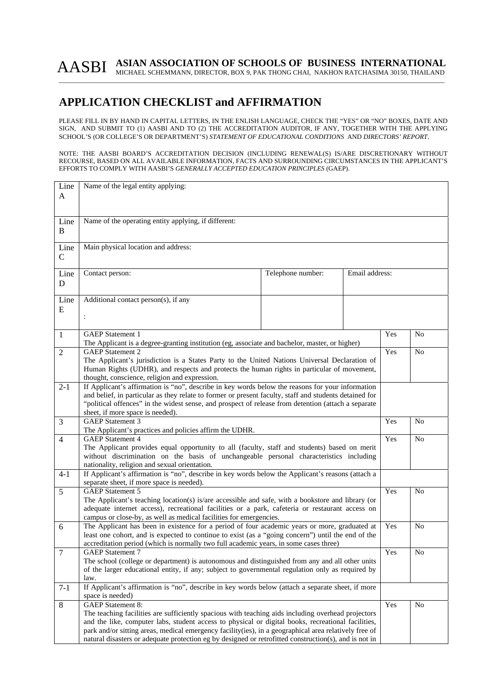# AASBI ASIAN ASSOCIATION OF SCHOOLS OF BUSINESS INTERNATIONAL MICHAEL SCHEMMANN, DIRECTOR, BOX 9, PAK THONG CHAI, NAKHON RATCHASIMA 30150, THAILAND

### **APPLICATION CHECKLIST and AFFIRMATION**

PLEASE FILL IN BY HAND IN CAPITAL LETTERS, IN THE ENLISH LANGUAGE, CHECK THE "YES" OR "NO" BOXES, DATE AND SIGN, AND SUBMIT TO (1) AASBI AND TO (2) THE ACCREDITATION AUDITOR, IF ANY, TOGETHER WITH THE APPLYING SCHOOL'S (OR COLLEGE'S OR DEPARTMENT'S) *STATEMENT OF EDUCATIONAL CONDITIONS* AND *DIRECTORS' REPORT*.

#### NOTE: THE AASBI BOARD'S ACCREDITATION DECISION (INCLUDING RENEWAL(S) IS/ARE DISCRETIONARY WITHOUT RECOURSE, BASED ON ALL AVAILABLE INFORMATION, FACTS AND SURROUNDING CIRCUMSTANCES IN THE APPLICANT'S EFFORTS TO COMPLY WITH AASBI'S *GENERALLY ACCEPTED EDUCATION PRINCIPLES* (GAEP).

| Line           | Name of the legal entity applying:                                                                     |     |                |  |  |  |
|----------------|--------------------------------------------------------------------------------------------------------|-----|----------------|--|--|--|
| A              |                                                                                                        |     |                |  |  |  |
|                |                                                                                                        |     |                |  |  |  |
|                |                                                                                                        |     |                |  |  |  |
| Line           | Name of the operating entity applying, if different:                                                   |     |                |  |  |  |
| $\, {\bf B}$   |                                                                                                        |     |                |  |  |  |
|                |                                                                                                        |     |                |  |  |  |
| Line           | Main physical location and address:                                                                    |     |                |  |  |  |
|                |                                                                                                        |     |                |  |  |  |
| $\mathcal{C}$  |                                                                                                        |     |                |  |  |  |
|                | Email address:                                                                                         |     |                |  |  |  |
| Line           | Telephone number:<br>Contact person:                                                                   |     |                |  |  |  |
| D              |                                                                                                        |     |                |  |  |  |
|                |                                                                                                        |     |                |  |  |  |
| Line           | Additional contact person(s), if any                                                                   |     |                |  |  |  |
| E              |                                                                                                        |     |                |  |  |  |
|                | $\ddot{\cdot}$                                                                                         |     |                |  |  |  |
|                |                                                                                                        |     |                |  |  |  |
| 1              | <b>GAEP</b> Statement 1                                                                                | Yes | No             |  |  |  |
|                | The Applicant is a degree-granting institution (eg, associate and bachelor, master, or higher)         |     |                |  |  |  |
| $\overline{2}$ | <b>GAEP</b> Statement 2                                                                                | Yes | No             |  |  |  |
|                | The Applicant's jurisdiction is a States Party to the United Nations Universal Declaration of          |     |                |  |  |  |
|                | Human Rights (UDHR), and respects and protects the human rights in particular of movement,             |     |                |  |  |  |
|                | thought, conscience, religion and expression.                                                          |     |                |  |  |  |
| $2-1$          | If Applicant's affirmation is "no", describe in key words below the reasons for your information       |     |                |  |  |  |
|                | and belief, in particular as they relate to former or present faculty, staff and students detained for |     |                |  |  |  |
|                | "political offences" in the widest sense, and prospect of release from detention (attach a separate    |     |                |  |  |  |
|                | sheet, if more space is needed).                                                                       |     |                |  |  |  |
| 3              | <b>GAEP</b> Statement 3                                                                                | Yes | N <sub>o</sub> |  |  |  |
|                | The Applicant's practices and policies affirm the UDHR.                                                |     |                |  |  |  |
| $\overline{4}$ | <b>GAEP</b> Statement 4                                                                                | Yes | N <sub>0</sub> |  |  |  |
|                | The Applicant provides equal opportunity to all (faculty, staff and students) based on merit           |     |                |  |  |  |
|                | without discrimination on the basis of unchangeable personal characteristics including                 |     |                |  |  |  |
|                | nationality, religion and sexual orientation.                                                          |     |                |  |  |  |
| $4 - 1$        | If Applicant's affirmation is "no", describe in key words below the Applicant's reasons (attach a      |     |                |  |  |  |
|                | separate sheet, if more space is needed).                                                              |     |                |  |  |  |
| 5              | <b>GAEP</b> Statement 5                                                                                | Yes | N <sub>0</sub> |  |  |  |
|                | The Applicant's teaching location(s) is/are accessible and safe, with a bookstore and library (or      |     |                |  |  |  |
|                | adequate internet access), recreational facilities or a park, cafeteria or restaurant access on        |     |                |  |  |  |
|                | campus or close-by, as well as medical facilities for emergencies.                                     |     |                |  |  |  |
|                |                                                                                                        |     |                |  |  |  |
| 6              | The Applicant has been in existence for a period of four academic years or more, graduated at          | Yes | N <sub>0</sub> |  |  |  |
|                | least one cohort, and is expected to continue to exist (as a "going concern") until the end of the     |     |                |  |  |  |
|                | accreditation period (which is normally two full academic years, in some cases three)                  |     |                |  |  |  |
| $\overline{7}$ | <b>GAEP</b> Statement 7                                                                                | Yes | $\rm No$       |  |  |  |
|                | The school (college or department) is autonomous and distinguished from any and all other units        |     |                |  |  |  |
|                | of the larger educational entity, if any; subject to governmental regulation only as required by       |     |                |  |  |  |
|                | law.                                                                                                   |     |                |  |  |  |
| $7 - 1$        | If Applicant's affirmation is "no", describe in key words below (attach a separate sheet, if more      |     |                |  |  |  |
|                | space is needed)                                                                                       |     |                |  |  |  |
| $\,8\,$        | <b>GAEP</b> Statement 8:                                                                               | Yes | N <sub>o</sub> |  |  |  |
|                | The teaching facilities are sufficiently spacious with teaching aids including overhead projectors     |     |                |  |  |  |
|                | and the like, computer labs, student access to physical or digital books, recreational facilities,     |     |                |  |  |  |
|                | park and/or sitting areas, medical emergency facility(ies), in a geographical area relatively free of  |     |                |  |  |  |
|                | natural disasters or adequate protection eg by designed or retrofitted construction(s), and is not in  |     |                |  |  |  |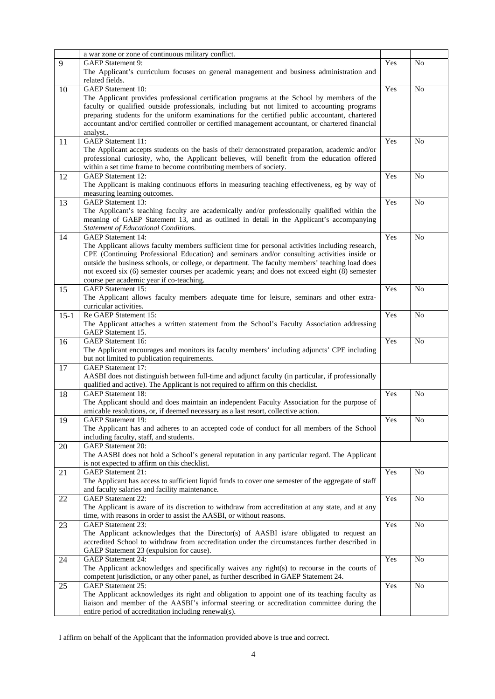|        | a war zone or zone of continuous military conflict.                                                                                                                                      |     |                |
|--------|------------------------------------------------------------------------------------------------------------------------------------------------------------------------------------------|-----|----------------|
| 9      | GAEP Statement 9:                                                                                                                                                                        | Yes | N <sub>o</sub> |
|        | The Applicant's curriculum focuses on general management and business administration and                                                                                                 |     |                |
|        | related fields.                                                                                                                                                                          |     |                |
| 10     | <b>GAEP</b> Statement 10:                                                                                                                                                                | Yes | N <sub>o</sub> |
|        | The Applicant provides professional certification programs at the School by members of the                                                                                               |     |                |
|        | faculty or qualified outside professionals, including but not limited to accounting programs                                                                                             |     |                |
|        | preparing students for the uniform examinations for the certified public accountant, chartered                                                                                           |     |                |
|        | accountant and/or certified controller or certified management accountant, or chartered financial                                                                                        |     |                |
|        | analyst                                                                                                                                                                                  |     |                |
| 11     | <b>GAEP</b> Statement 11:                                                                                                                                                                | Yes | N <sub>o</sub> |
|        | The Applicant accepts students on the basis of their demonstrated preparation, academic and/or                                                                                           |     |                |
|        | professional curiosity, who, the Applicant believes, will benefit from the education offered                                                                                             |     |                |
|        | within a set time frame to become contributing members of society.                                                                                                                       |     |                |
| 12     | <b>GAEP</b> Statement 12:                                                                                                                                                                | Yes | N <sub>o</sub> |
|        | The Applicant is making continuous efforts in measuring teaching effectiveness, eg by way of                                                                                             |     |                |
|        | measuring learning outcomes.                                                                                                                                                             |     |                |
| 13     | <b>GAEP</b> Statement 13:                                                                                                                                                                | Yes | No             |
|        | The Applicant's teaching faculty are academically and/or professionally qualified within the                                                                                             |     |                |
|        | meaning of GAEP Statement 13, and as outlined in detail in the Applicant's accompanying                                                                                                  |     |                |
|        | Statement of Educational Conditions.                                                                                                                                                     |     |                |
| 14     | <b>GAEP</b> Statement 14:                                                                                                                                                                | Yes | N <sub>o</sub> |
|        | The Applicant allows faculty members sufficient time for personal activities including research,                                                                                         |     |                |
|        | CPE (Continuing Professional Education) and seminars and/or consulting activities inside or                                                                                              |     |                |
|        | outside the business schools, or college, or department. The faculty members' teaching load does                                                                                         |     |                |
|        | not exceed six (6) semester courses per academic years; and does not exceed eight (8) semester                                                                                           |     |                |
|        | course per academic year if co-teaching.                                                                                                                                                 |     |                |
| 15     | <b>GAEP</b> Statement 15:                                                                                                                                                                | Yes | N <sub>o</sub> |
|        | The Applicant allows faculty members adequate time for leisure, seminars and other extra-                                                                                                |     |                |
|        | curricular activities.                                                                                                                                                                   |     |                |
| $15-1$ | Re GAEP Statement 15:                                                                                                                                                                    | Yes | N <sub>o</sub> |
|        | The Applicant attaches a written statement from the School's Faculty Association addressing                                                                                              |     |                |
|        | GAEP Statement 15.                                                                                                                                                                       |     |                |
| 16     | <b>GAEP</b> Statement 16:                                                                                                                                                                | Yes | No             |
|        | The Applicant encourages and monitors its faculty members' including adjuncts' CPE including                                                                                             |     |                |
|        | but not limited to publication requirements.                                                                                                                                             |     |                |
| 17     | <b>GAEP</b> Statement 17:                                                                                                                                                                |     |                |
|        | AASBI does not distinguish between full-time and adjunct faculty (in particular, if professionally                                                                                       |     |                |
|        | qualified and active). The Applicant is not required to affirm on this checklist.                                                                                                        |     |                |
| 18     | <b>GAEP</b> Statement 18:                                                                                                                                                                | Yes | N <sub>o</sub> |
|        | The Applicant should and does maintain an independent Faculty Association for the purpose of                                                                                             |     |                |
|        | amicable resolutions, or, if deemed necessary as a last resort, collective action.                                                                                                       |     |                |
| 19     | GAEP Statement 19:                                                                                                                                                                       | Yes | No             |
|        | The Applicant has and adheres to an accepted code of conduct for all members of the School                                                                                               |     |                |
|        | including faculty, staff, and students.                                                                                                                                                  |     |                |
| 20     | <b>GAEP</b> Statement 20:                                                                                                                                                                |     |                |
|        | The AASBI does not hold a School's general reputation in any particular regard. The Applicant                                                                                            |     |                |
|        | is not expected to affirm on this checklist.                                                                                                                                             |     |                |
| 21     | GAEP Statement 21:                                                                                                                                                                       | Yes | N <sub>o</sub> |
|        | The Applicant has access to sufficient liquid funds to cover one semester of the aggregate of staff                                                                                      |     |                |
|        | and faculty salaries and facility maintenance.                                                                                                                                           |     |                |
| 22     | <b>GAEP</b> Statement 22:                                                                                                                                                                | Yes | No             |
|        | The Applicant is aware of its discretion to withdraw from accreditation at any state, and at any                                                                                         |     |                |
|        | time, with reasons in order to assist the AASBI, or without reasons.<br><b>GAEP</b> Statement 23:                                                                                        | Yes | N <sub>o</sub> |
| 23     |                                                                                                                                                                                          |     |                |
|        | The Applicant acknowledges that the Director(s) of AASBI is/are obligated to request an<br>accredited School to withdraw from accreditation under the circumstances further described in |     |                |
|        | GAEP Statement 23 (expulsion for cause).                                                                                                                                                 |     |                |
|        | <b>GAEP</b> Statement 24:                                                                                                                                                                | Yes | N <sub>o</sub> |
| 24     | The Applicant acknowledges and specifically waives any right(s) to recourse in the courts of                                                                                             |     |                |
|        | competent jurisdiction, or any other panel, as further described in GAEP Statement 24.                                                                                                   |     |                |
| 25     | <b>GAEP</b> Statement 25:                                                                                                                                                                | Yes | No             |
|        | The Applicant acknowledges its right and obligation to appoint one of its teaching faculty as                                                                                            |     |                |
|        | liaison and member of the AASBI's informal steering or accreditation committee during the                                                                                                |     |                |
|        | entire period of accreditation including renewal(s).                                                                                                                                     |     |                |
|        |                                                                                                                                                                                          |     |                |

I affirm on behalf of the Applicant that the information provided above is true and correct.